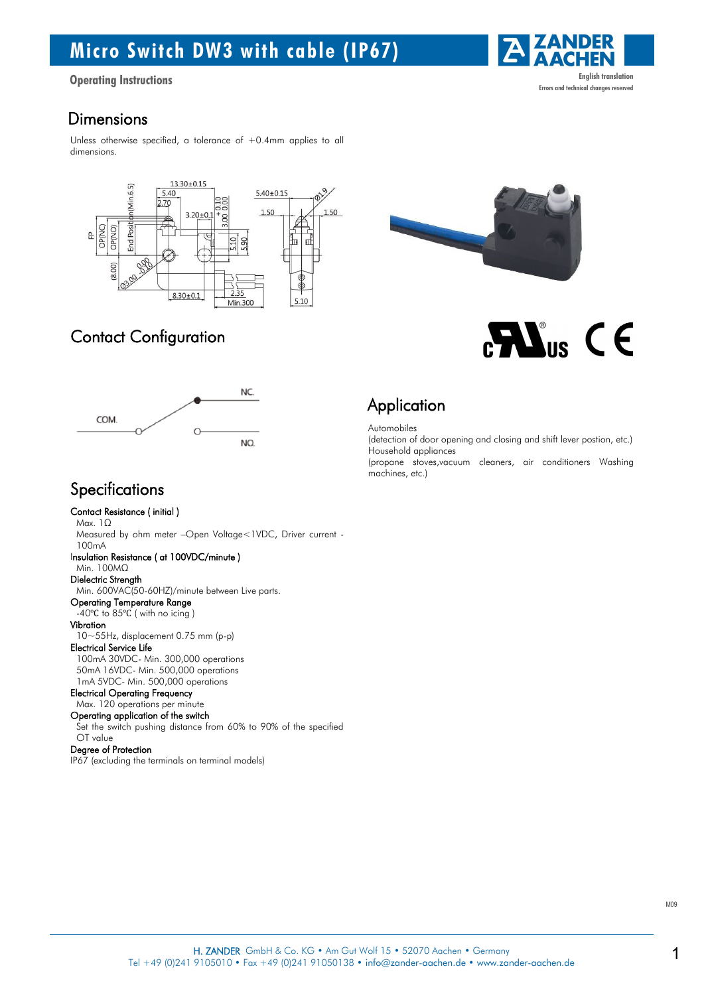## Micro Switch DW3 with cable (IP67)

### **Dimensions**

Unless otherwise specified, a tolerance of  $+0.4$ mm applies to all dimensions.





## Contact Configuration



### **Specifications**

Contact Resistance ( initial ) Max. 1Ω Measured by ohm meter –Open Voltage<1VDC, Driver current - 100mA Insulation Resistance ( at 100VDC/minute ) Min. 100MΩ Dielectric Strength Min. 600VAC(50-60HZ)/minute between Live parts. Operating Temperature Range -40℃ to 85℃ ( with no icing ) Vibration 10~55Hz, displacement 0.75 mm (p-p) Electrical Service Life 100mA 30VDC- Min. 300,000 operations 50mA 16VDC- Min. 500,000 operations 1mA 5VDC- Min. 500,000 operations Electrical Operating Frequency Max. 120 operations per minute Operating application of the switch Set the switch pushing distance from 60% to 90% of the specified

#### OT value Degree of Protection

IP67 (excluding the terminals on terminal models)



```
Automobiles
```
(detection of door opening and closing and shift lever postion, etc.) Household appliances

(propane stoves,vacuum cleaners, air conditioners Washing machines, etc.)



 $\mathbf{N}_{\text{us}}$  C E